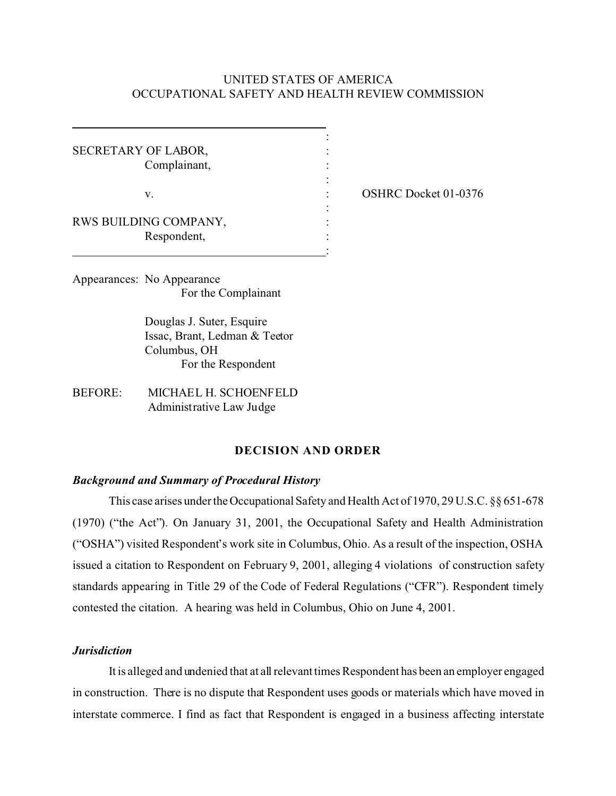## UNITED STATES OF AMERICA OCCUPATIONAL SAFETY AND HEALTH REVIEW COMMISSION

: : : : : : : : :

SECRETARY OF LABOR, Complainant,

v.

OSHRC Docket 01-0376

RWS BUILDING COMPANY, Respondent,

Appearances: No Appearance For the Complainant

> Douglas J. Suter, Esquire Issac, Brant, Ledman & Teetor Columbus, OH For the Respondent

BEFORE: MICHAEL H. SCHOENFELD Administrative Law Judge

# **DECISION AND ORDER**

#### *Background and Summary of Procedural History*

This case arises under the Occupational Safety and Health Act of 1970, 29 U.S.C. §§ 651-678 (1970) ("the Act"). On January 31, 2001, the Occupational Safety and Health Administration ("OSHA") visited Respondent's work site in Columbus, Ohio. As a result of the inspection, OSHA issued a citation to Respondent on February 9, 2001, alleging 4 violations of construction safety standards appearing in Title 29 of the Code of Federal Regulations ("CFR"). Respondent timely contested the citation. A hearing was held in Columbus, Ohio on June 4, 2001.

### *Jurisdiction*

It is alleged and undenied that at all relevant times Respondent has been an employer engaged in construction. There is no dispute that Respondent uses goods or materials which have moved in interstate commerce. I find as fact that Respondent is engaged in a business affecting interstate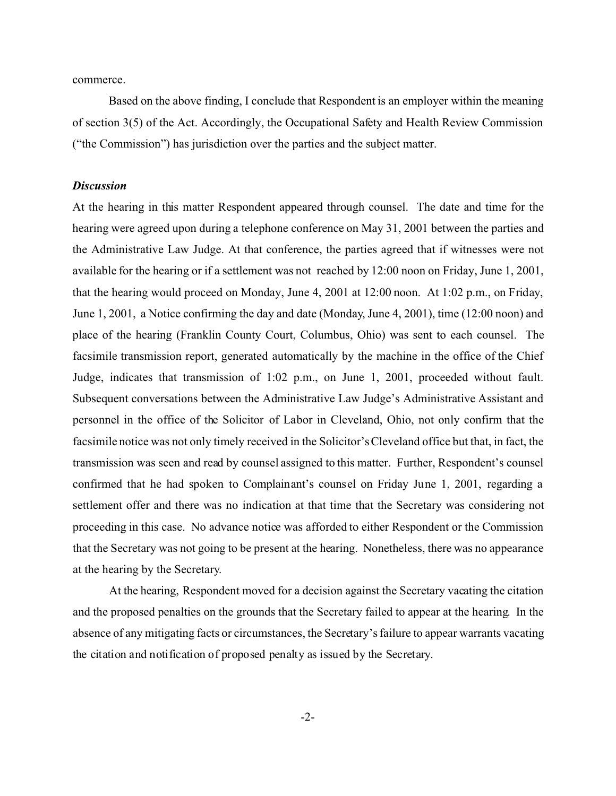commerce.

Based on the above finding, I conclude that Respondent is an employer within the meaning of section 3(5) of the Act. Accordingly, the Occupational Safety and Health Review Commission ("the Commission") has jurisdiction over the parties and the subject matter.

## *Discussion*

At the hearing in this matter Respondent appeared through counsel. The date and time for the hearing were agreed upon during a telephone conference on May 31, 2001 between the parties and the Administrative Law Judge. At that conference, the parties agreed that if witnesses were not available for the hearing or if a settlement was not reached by 12:00 noon on Friday, June 1, 2001, that the hearing would proceed on Monday, June 4, 2001 at 12:00 noon. At 1:02 p.m., on Friday, June 1, 2001, a Notice confirming the day and date (Monday, June 4, 2001), time (12:00 noon) and place of the hearing (Franklin County Court, Columbus, Ohio) was sent to each counsel. The facsimile transmission report, generated automatically by the machine in the office of the Chief Judge, indicates that transmission of 1:02 p.m., on June 1, 2001, proceeded without fault. Subsequent conversations between the Administrative Law Judge's Administrative Assistant and personnel in the office of the Solicitor of Labor in Cleveland, Ohio, not only confirm that the facsimile notice was not only timely received in the Solicitor's Cleveland office but that, in fact, the transmission was seen and read by counsel assigned to this matter. Further, Respondent's counsel confirmed that he had spoken to Complainant's counsel on Friday June 1, 2001, regarding a settlement offer and there was no indication at that time that the Secretary was considering not proceeding in this case. No advance notice was afforded to either Respondent or the Commission that the Secretary was not going to be present at the hearing. Nonetheless, there was no appearance at the hearing by the Secretary.

At the hearing, Respondent moved for a decision against the Secretary vacating the citation and the proposed penalties on the grounds that the Secretary failed to appear at the hearing. In the absence of any mitigating facts or circumstances, the Secretary's failure to appear warrants vacating the citation and notification of proposed penalty as issued by the Secretary.